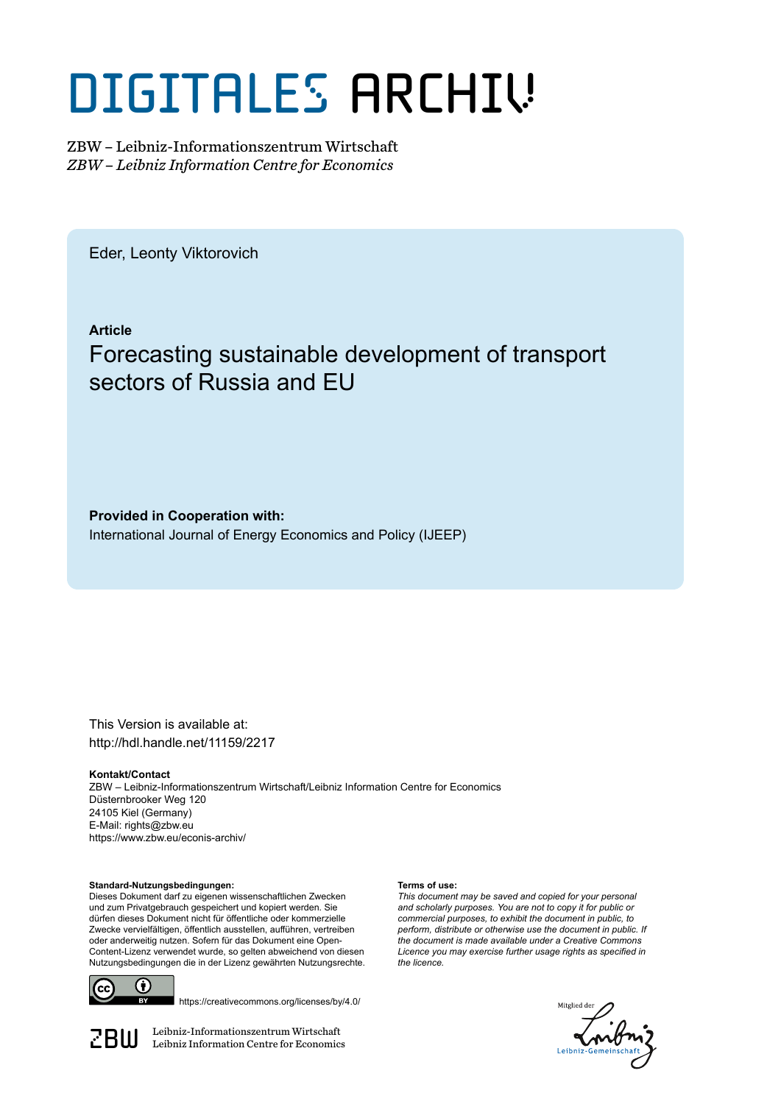# DIGITALES ARCHIV

ZBW – Leibniz-Informationszentrum Wirtschaft *ZBW – Leibniz Information Centre for Economics*

Eder, Leonty Viktorovich

**Article**

# Forecasting sustainable development of transport sectors of Russia and EU

**Provided in Cooperation with:** International Journal of Energy Economics and Policy (IJEEP)

This Version is available at: http://hdl.handle.net/11159/2217

**Kontakt/Contact** ZBW – Leibniz-Informationszentrum Wirtschaft/Leibniz Information Centre for Economics Düsternbrooker Weg 120 24105 Kiel (Germany) E-Mail: rights@zbw.eu https://www.zbw.eu/econis-archiv/

**Standard-Nutzungsbedingungen:**

Dieses Dokument darf zu eigenen wissenschaftlichen Zwecken und zum Privatgebrauch gespeichert und kopiert werden. Sie dürfen dieses Dokument nicht für öffentliche oder kommerzielle Zwecke vervielfältigen, öffentlich ausstellen, aufführen, vertreiben oder anderweitig nutzen. Sofern für das Dokument eine Open-Content-Lizenz verwendet wurde, so gelten abweichend von diesen Nutzungsbedingungen die in der Lizenz gewährten Nutzungsrechte.



https://creativecommons.org/licenses/by/4.0/

 $\mathbb{Z} \text{B} \text{U}$  Leibniz-Informationszentrum Wirtschaft

#### **Terms of use:**

*This document may be saved and copied for your personal and scholarly purposes. You are not to copy it for public or commercial purposes, to exhibit the document in public, to perform, distribute or otherwise use the document in public. If the document is made available under a Creative Commons Licence you may exercise further usage rights as specified in the licence.*

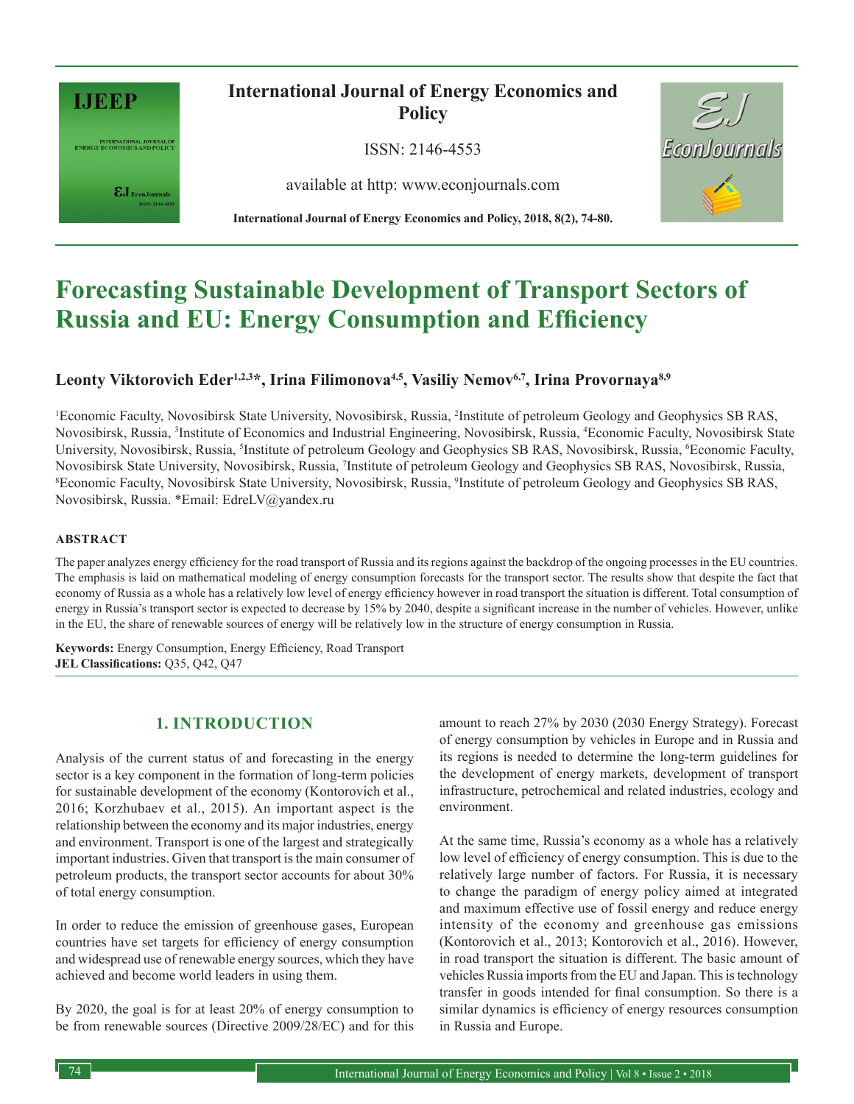

INTERNATIONAL JOURNAL OF<br>ENERGY ECONOMICS AND POLICY

 $\pmb{\varepsilon} \mathbf{J}_{\text{\tiny{EconJournals}}}$ 

**International Journal of Energy Economics and Policy**

ISSN: 2146-4553

available at http: www.econjournals.com

**International Journal of Energy Economics and Policy, 2018, 8(2), 74-80.**



# **Forecasting Sustainable Development of Transport Sectors of Russia and EU: Energy Consumption and Efficiency**

# Leonty Viktorovich Eder<sup>1,2,3\*</sup>, Irina Filimonova<sup>4,5</sup>, Vasiliy Nemov<sup>6,7</sup>, Irina Provornaya<sup>8,9</sup>

1 Economic Faculty, Novosibirsk State University, Novosibirsk, Russia, <sup>2</sup> Institute of petroleum Geology and Geophysics SB RAS, Novosibirsk, Russia, <sup>3</sup>Institute of Economics and Industrial Engineering, Novosibirsk, Russia, <sup>4</sup>Economic Faculty, Novosibirsk State University, Novosibirsk, Russia, <sup>5</sup>Institute of petroleum Geology and Geophysics SB RAS, Novosibirsk, Russia, <sup>6</sup>Economic Faculty, Novosibirsk State University, Novosibirsk, Russia, <sup>7</sup>Institute of petroleum Geology and Geophysics SB RAS, Novosibirsk, Russia, 88 RAS, Novosibirsk, Russia, 88 RAS, Novosibirsk, Russia, 88 RAS, Novosibirsk, Russia, 88 RAS Economic Faculty, Novosibirsk State University, Novosibirsk, Russia, 9 Institute of petroleum Geology and Geophysics SB RAS, Novosibirsk, Russia. \*Email: EdreLV@yandex.ru

#### **ABSTRACT**

The paper analyzes energy efficiency for the road transport of Russia and its regions against the backdrop of the ongoing processes in the EU countries. The emphasis is laid on mathematical modeling of energy consumption forecasts for the transport sector. The results show that despite the fact that economy of Russia as a whole has a relatively low level of energy efficiency however in road transport the situation is different. Total consumption of energy in Russia's transport sector is expected to decrease by 15% by 2040, despite a significant increase in the number of vehicles. However, unlike in the EU, the share of renewable sources of energy will be relatively low in the structure of energy consumption in Russia.

**Keywords:** Energy Consumption, Energy Efficiency, Road Transport **JEL Classifications:** Q35, Q42, Q47

# **1. INTRODUCTION**

Analysis of the current status of and forecasting in the energy sector is a key component in the formation of long-term policies for sustainable development of the economy (Kontorovich et al., 2016; Korzhubaev et al., 2015). An important aspect is the relationship between the economy and its major industries, energy and environment. Transport is one of the largest and strategically important industries. Given that transport is the main consumer of petroleum products, the transport sector accounts for about 30% of total energy consumption.

In order to reduce the emission of greenhouse gases, European countries have set targets for efficiency of energy consumption and widespread use of renewable energy sources, which they have achieved and become world leaders in using them.

By 2020, the goal is for at least 20% of energy consumption to be from renewable sources (Directive 2009/28/EC) and for this amount to reach 27% by 2030 (2030 Energy Strategy). Forecast of energy consumption by vehicles in Europe and in Russia and its regions is needed to determine the long-term guidelines for the development of energy markets, development of transport infrastructure, petrochemical and related industries, ecology and environment.

At the same time, Russia's economy as a whole has a relatively low level of efficiency of energy consumption. This is due to the relatively large number of factors. For Russia, it is necessary to change the paradigm of energy policy aimed at integrated and maximum effective use of fossil energy and reduce energy intensity of the economy and greenhouse gas emissions (Kontorovich et al., 2013; Kontorovich et al., 2016). However, in road transport the situation is different. The basic amount of vehicles Russia imports from the EU and Japan. This is technology transfer in goods intended for final consumption. So there is a similar dynamics is efficiency of energy resources consumption in Russia and Europe.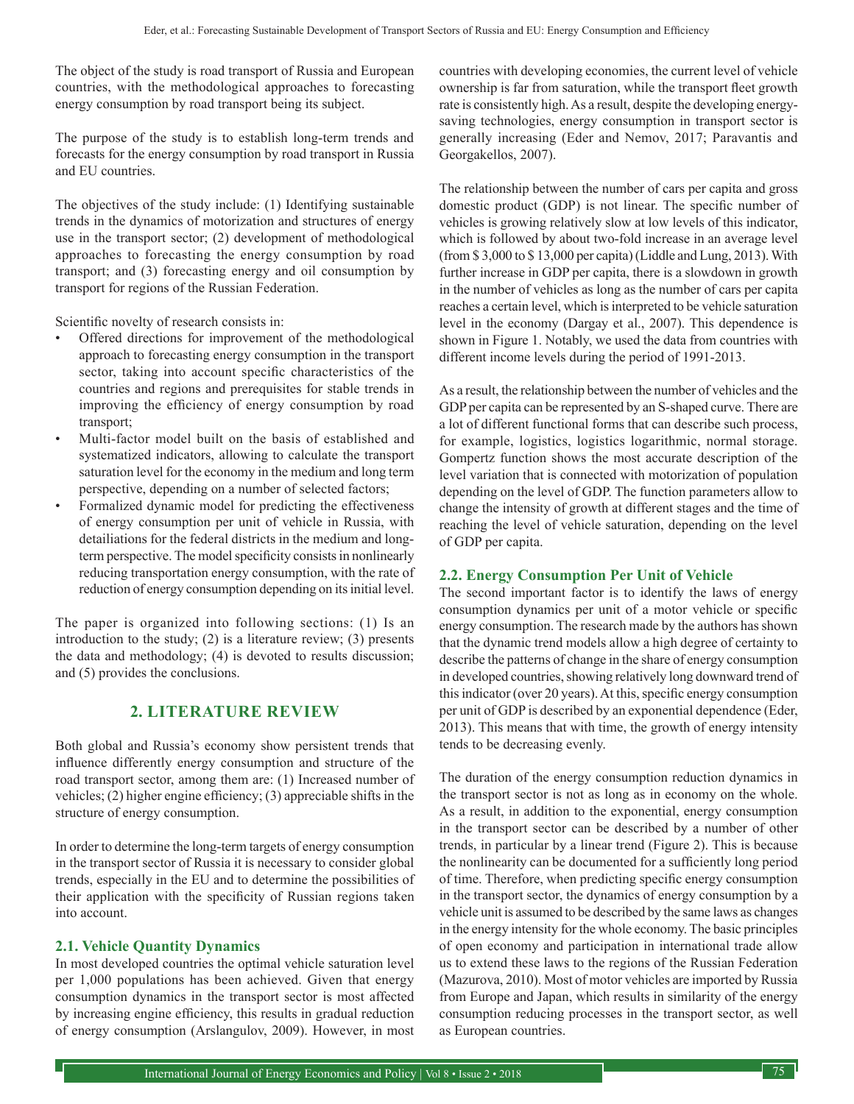The object of the study is road transport of Russia and European countries, with the methodological approaches to forecasting energy consumption by road transport being its subject.

The purpose of the study is to establish long-term trends and forecasts for the energy consumption by road transport in Russia and EU countries.

The objectives of the study include: (1) Identifying sustainable trends in the dynamics of motorization and structures of energy use in the transport sector; (2) development of methodological approaches to forecasting the energy consumption by road transport; and (3) forecasting energy and oil consumption by transport for regions of the Russian Federation.

Scientific novelty of research consists in:

- Offered directions for improvement of the methodological approach to forecasting energy consumption in the transport sector, taking into account specific characteristics of the countries and regions and prerequisites for stable trends in improving the efficiency of energy consumption by road transport;
- Multi-factor model built on the basis of established and systematized indicators, allowing to calculate the transport saturation level for the economy in the medium and long term perspective, depending on a number of selected factors;
- Formalized dynamic model for predicting the effectiveness of energy consumption per unit of vehicle in Russia, with detailiations for the federal districts in the medium and longterm perspective. The model specificity consists in nonlinearly reducing transportation energy consumption, with the rate of reduction of energy consumption depending on its initial level.

The paper is organized into following sections: (1) Is an introduction to the study; (2) is a literature review; (3) presents the data and methodology; (4) is devoted to results discussion; and (5) provides the conclusions.

# **2. LITERATURE REVIEW**

Both global and Russia's economy show persistent trends that influence differently energy consumption and structure of the road transport sector, among them are: (1) Increased number of vehicles; (2) higher engine efficiency; (3) appreciable shifts in the structure of energy consumption.

In order to determine the long-term targets of energy consumption in the transport sector of Russia it is necessary to consider global trends, especially in the EU and to determine the possibilities of their application with the specificity of Russian regions taken into account.

#### **2.1. Vehicle Quantity Dynamics**

In most developed countries the optimal vehicle saturation level per 1,000 populations has been achieved. Given that energy consumption dynamics in the transport sector is most affected by increasing engine efficiency, this results in gradual reduction of energy consumption (Arslangulov, 2009). However, in most countries with developing economies, the current level of vehicle ownership is far from saturation, while the transport fleet growth rate is consistently high. As a result, despite the developing energysaving technologies, energy consumption in transport sector is generally increasing (Eder and Nemov, 2017; Paravantis and Georgakellos, 2007).

The relationship between the number of cars per capita and gross domestic product (GDP) is not linear. The specific number of vehicles is growing relatively slow at low levels of this indicator, which is followed by about two-fold increase in an average level (from \$ 3,000 to \$ 13,000 per capita) (Liddle and Lung, 2013). With further increase in GDP per capita, there is a slowdown in growth in the number of vehicles as long as the number of cars per capita reaches a certain level, which is interpreted to be vehicle saturation level in the economy (Dargay et al., 2007). This dependence is shown in Figure 1. Notably, we used the data from countries with different income levels during the period of 1991-2013.

As a result, the relationship between the number of vehicles and the GDP per capita can be represented by an S-shaped curve. There are a lot of different functional forms that can describe such process, for example, logistics, logistics logarithmic, normal storage. Gompertz function shows the most accurate description of the level variation that is connected with motorization of population depending on the level of GDP. The function parameters allow to change the intensity of growth at different stages and the time of reaching the level of vehicle saturation, depending on the level of GDP per capita.

#### **2.2. Energy Consumption Per Unit of Vehicle**

The second important factor is to identify the laws of energy consumption dynamics per unit of a motor vehicle or specific energy consumption. The research made by the authors has shown that the dynamic trend models allow a high degree of certainty to describe the patterns of change in the share of energy consumption in developed countries, showing relatively long downward trend of this indicator (over 20 years). At this, specific energy consumption per unit of GDP is described by an exponential dependence (Eder, 2013). This means that with time, the growth of energy intensity tends to be decreasing evenly.

The duration of the energy consumption reduction dynamics in the transport sector is not as long as in economy on the whole. As a result, in addition to the exponential, energy consumption in the transport sector can be described by a number of other trends, in particular by a linear trend (Figure 2). This is because the nonlinearity can be documented for a sufficiently long period of time. Therefore, when predicting specific energy consumption in the transport sector, the dynamics of energy consumption by a vehicle unit is assumed to be described by the same laws as changes in the energy intensity for the whole economy. The basic principles of open economy and participation in international trade allow us to extend these laws to the regions of the Russian Federation (Mazurova, 2010). Most of motor vehicles are imported by Russia from Europe and Japan, which results in similarity of the energy consumption reducing processes in the transport sector, as well as European countries.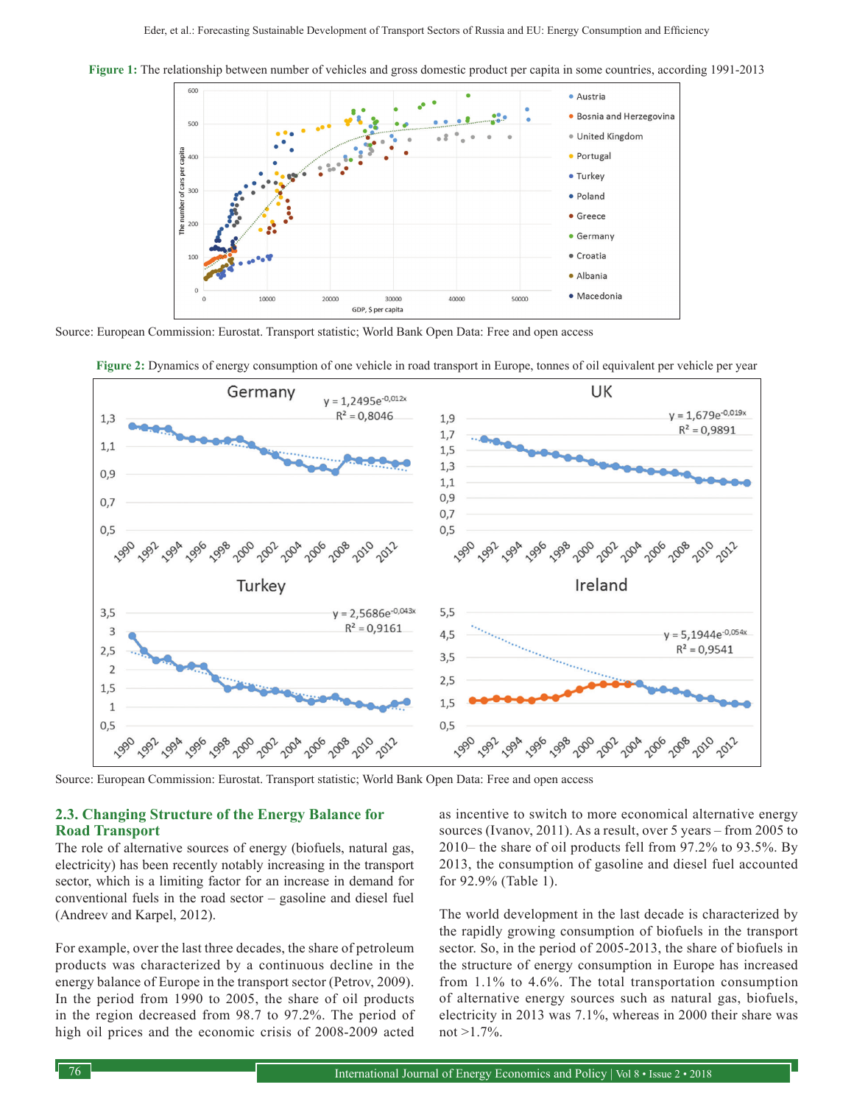

**Figure 1:** The relationship between number of vehicles and gross domestic product per capita in some countries, according 1991-2013

Source: European Commission: Eurostat. Transport statistic; World Bank Open Data: Free and open access



**Figure 2:** Dynamics of energy consumption of one vehicle in road transport in Europe, tonnes of oil equivalent per vehicle per year

Source: European Commission: Eurostat. Transport statistic; World Bank Open Data: Free and open access

#### **2.3. Changing Structure of the Energy Balance for Road Transport**

The role of alternative sources of energy (biofuels, natural gas, electricity) has been recently notably increasing in the transport sector, which is a limiting factor for an increase in demand for conventional fuels in the road sector – gasoline and diesel fuel (Andreev and Karpel, 2012).

For example, over the last three decades, the share of petroleum products was characterized by a continuous decline in the energy balance of Europe in the transport sector (Petrov, 2009). In the period from 1990 to 2005, the share of oil products in the region decreased from 98.7 to 97.2%. The period of high oil prices and the economic crisis of 2008-2009 acted

as incentive to switch to more economical alternative energy sources (Ivanov, 2011). As a result, over 5 years – from 2005 to 2010– the share of oil products fell from 97.2% to 93.5%. By 2013, the consumption of gasoline and diesel fuel accounted for 92.9% (Table 1).

The world development in the last decade is characterized by the rapidly growing consumption of biofuels in the transport sector. So, in the period of 2005-2013, the share of biofuels in the structure of energy consumption in Europe has increased from 1.1% to 4.6%. The total transportation consumption of alternative energy sources such as natural gas, biofuels, electricity in 2013 was 7.1%, whereas in 2000 their share was not >1.7%.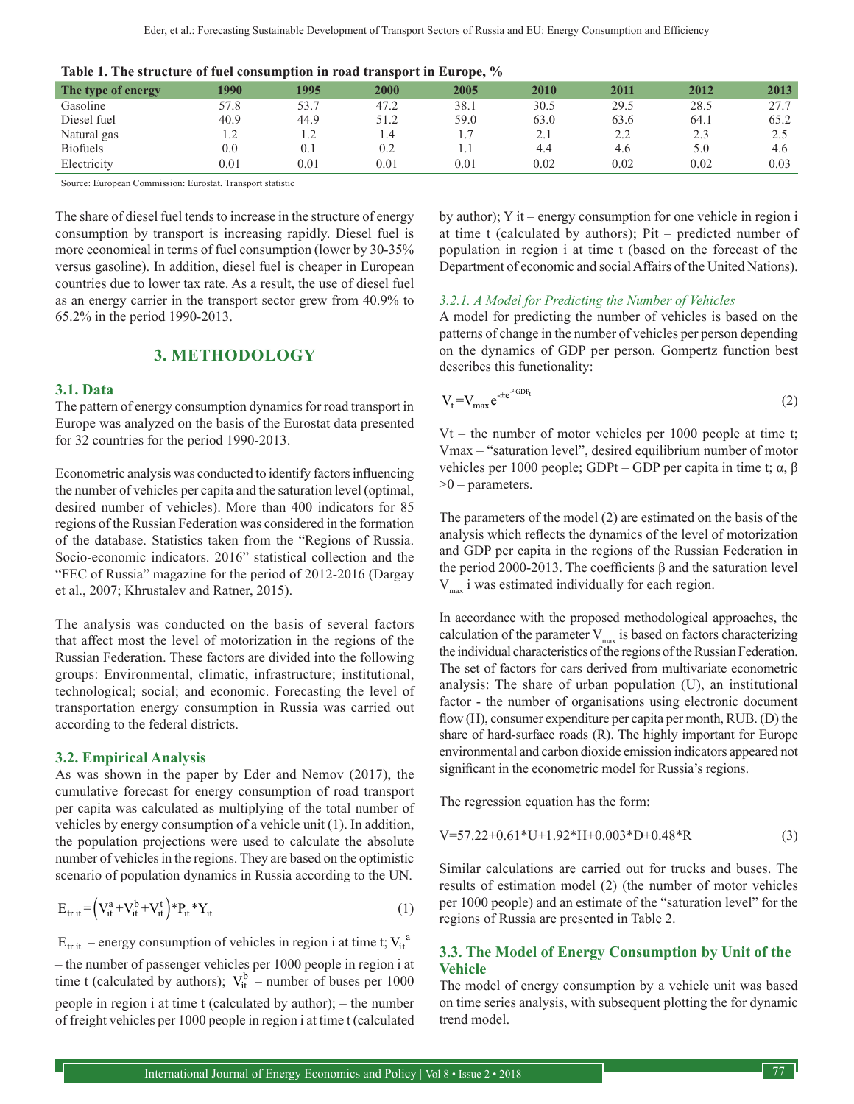|         |      |      | - - - - - - - |      |      |      |      |
|---------|------|------|---------------|------|------|------|------|
| 1990    | 1995 | 2000 | 2005          | 2010 | 2011 | 2012 | 2013 |
| 57.8    | 53.7 | 47.2 | 38.1          | 30.5 | 29.5 | 28.5 | 27.7 |
| 40.9    | 44.9 | 51.2 | 59.0          | 63.0 | 63.6 | 64.1 | 65.2 |
|         |      | 1.4  |               | 2.1  | 2.2  |      | 2.5  |
| $0.0\,$ | 0.1  | 0.2  |               | 4.4  | 4.6  | 5.0  | 4.6  |
| 0.01    | 0.01 | 0.01 | 0.01          | 0.02 | 0.02 | 0.02 | 0.03 |
|         |      |      |               |      |      |      |      |

|  |  |  |  | Table 1. The structure of fuel consumption in road transport in Europe, % |  |  |  |  |
|--|--|--|--|---------------------------------------------------------------------------|--|--|--|--|
|--|--|--|--|---------------------------------------------------------------------------|--|--|--|--|

Source: European Commission: Eurostat. Transport statistic

The share of diesel fuel tends to increase in the structure of energy consumption by transport is increasing rapidly. Diesel fuel is more economical in terms of fuel consumption (lower by 30-35% versus gasoline). In addition, diesel fuel is cheaper in European countries due to lower tax rate. As a result, the use of diesel fuel as an energy carrier in the transport sector grew from 40.9% to 65.2% in the period 1990-2013.

## **3. METHODOLOGY**

#### **3.1. Data**

The pattern of energy consumption dynamics for road transport in Europe was analyzed on the basis of the Eurostat data presented for 32 countries for the period 1990-2013.

Econometric analysis was conducted to identify factors influencing the number of vehicles per capita and the saturation level (optimal, desired number of vehicles). More than 400 indicators for 85 regions of the Russian Federation was considered in the formation of the database. Statistics taken from the "Regions of Russia. Socio-economic indicators. 2016" statistical collection and the "FEC of Russia" magazine for the period of 2012-2016 (Dargay et al., 2007; Khrustalev and Ratner, 2015).

The analysis was conducted on the basis of several factors that affect most the level of motorization in the regions of the Russian Federation. These factors are divided into the following groups: Environmental, climatic, infrastructure; institutional, technological; social; and economic. Forecasting the level of transportation energy consumption in Russia was carried out according to the federal districts.

#### **3.2. Empirical Analysis**

As was shown in the paper by Eder and Nemov (2017), the cumulative forecast for energy consumption of road transport per capita was calculated as multiplying of the total number of vehicles by energy consumption of a vehicle unit (1). In addition, the population projections were used to calculate the absolute number of vehicles in the regions. They are based on the optimistic scenario of population dynamics in Russia according to the UN.

$$
\mathbf{E}_{\mathrm{tr\,it}} = \left(\mathbf{V}_{\mathrm{it}}^{\mathrm{a}} + \mathbf{V}_{\mathrm{it}}^{\mathrm{b}} + \mathbf{V}_{\mathrm{it}}^{\mathrm{t}}\right) * \mathbf{P}_{\mathrm{it}} * \mathbf{Y}_{\mathrm{it}} \tag{1}
$$

 $E_{\text{trit}}$  – energy consumption of vehicles in region i at time t;  $V_{\text{it}}^a$ – the number of passenger vehicles per 1000 people in region i at time t (calculated by authors);  $V_{it}^{b}$  – number of buses per 1000 people in region i at time t (calculated by author); – the number of freight vehicles per 1000 people in region i at time t (calculated

by author); Y it – energy consumption for one vehicle in region i at time t (calculated by authors); Pit – predicted number of population in region i at time t (based on the forecast of the Department of economic and social Affairs of the United Nations).

#### *3.2.1. A Model for Predicting the Number of Vehicles*

A model for predicting the number of vehicles is based on the patterns of change in the number of vehicles per person depending on the dynamics of GDP per person. Gompertz function best describes this functionality:

$$
V_t = V_{\text{max}} e^{-te^{2}GDP_t}
$$
 (2)

Vt – the number of motor vehicles per 1000 people at time t; Vmax – "saturation level", desired equilibrium number of motor vehicles per 1000 people; GDPt – GDP per capita in time t; α, β  $>0$  – parameters.

The parameters of the model (2) are estimated on the basis of the analysis which reflects the dynamics of the level of motorization and GDP per capita in the regions of the Russian Federation in the period 2000-2013. The coefficients β and the saturation level  $V_{\text{max}}$  i was estimated individually for each region.

In accordance with the proposed methodological approaches, the calculation of the parameter  $V_{max}$  is based on factors characterizing the individual characteristics of the regions of the Russian Federation. The set of factors for cars derived from multivariate econometric analysis: The share of urban population (U), an institutional factor - the number of organisations using electronic document flow (H), consumer expenditure per capita per month, RUB. (D) the share of hard-surface roads (R). The highly important for Europe environmental and carbon dioxide emission indicators appeared not significant in the econometric model for Russia's regions.

The regression equation has the form:

$$
V=57.22+0.61*U+1.92*H+0.003*D+0.48*R
$$
 (3)

Similar calculations are carried out for trucks and buses. The results of estimation model (2) (the number of motor vehicles per 1000 people) and an estimate of the "saturation level" for the regions of Russia are presented in Table 2.

#### **3.3. The Model of Energy Consumption by Unit of the Vehicle**

The model of energy consumption by a vehicle unit was based on time series analysis, with subsequent plotting the for dynamic trend model.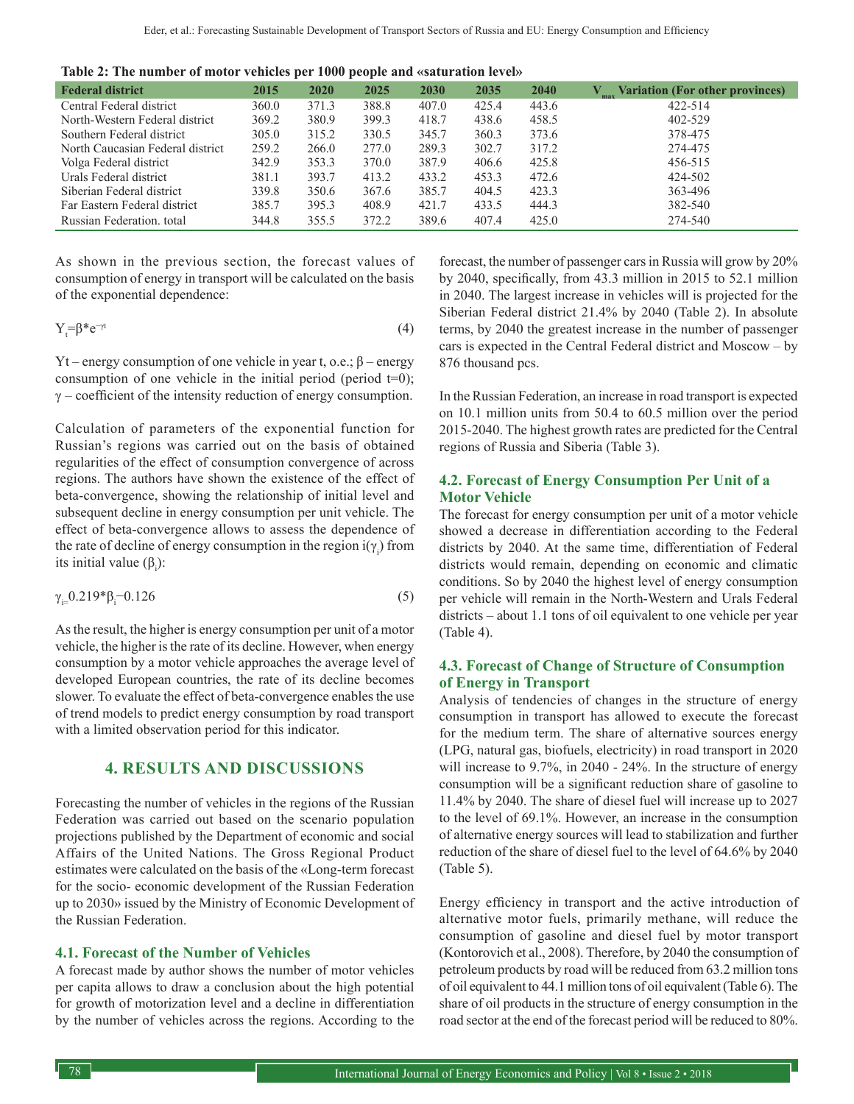**Table 2: The number of motor vehicles per 1000 people and «saturation level»**

| <b>Federal district</b>          | 2015  | 2020  | 2025  | <b>2030</b> | 2035  | 2040  | Variation (For other provinces) |
|----------------------------------|-------|-------|-------|-------------|-------|-------|---------------------------------|
| Central Federal district         | 360.0 | 371.3 | 388.8 | 407.0       | 425.4 | 443.6 | 422-514                         |
| North-Western Federal district   | 369.2 | 380.9 | 399.3 | 418.7       | 438.6 | 458.5 | 402-529                         |
| Southern Federal district        | 305.0 | 315.2 | 330.5 | 345.7       | 360.3 | 373.6 | 378-475                         |
| North Caucasian Federal district | 259.2 | 266.0 | 277.0 | 289.3       | 302.7 | 317.2 | 274-475                         |
| Volga Federal district           | 342.9 | 353.3 | 370.0 | 387.9       | 406.6 | 425.8 | 456-515                         |
| Urals Federal district           | 381.1 | 393.7 | 413.2 | 433.2       | 453.3 | 472.6 | 424-502                         |
| Siberian Federal district        | 339.8 | 350.6 | 367.6 | 385.7       | 404.5 | 423.3 | 363-496                         |
| Far Eastern Federal district     | 385.7 | 395.3 | 408.9 | 421.7       | 433.5 | 444.3 | 382-540                         |
| Russian Federation, total        | 344.8 | 355.5 | 372.2 | 389.6       | 407.4 | 425.0 | 274-540                         |

As shown in the previous section, the forecast values of consumption of energy in transport will be calculated on the basis of the exponential dependence:

$$
Y_t = \beta^* e^{-\gamma t} \tag{4}
$$

Yt – energy consumption of one vehicle in year t, o.e.; β – energy consumption of one vehicle in the initial period (period  $t=0$ );  $\gamma$  – coefficient of the intensity reduction of energy consumption.

Calculation of parameters of the exponential function for Russian's regions was carried out on the basis of obtained regularities of the effect of consumption convergence of across regions. The authors have shown the existence of the effect of beta-convergence, showing the relationship of initial level and subsequent decline in energy consumption per unit vehicle. The effect of beta-convergence allows to assess the dependence of the rate of decline of energy consumption in the region  $i(\gamma_i)$  from its initial value  $(\beta_i)$ :

$$
\gamma_{i=0.219} * \beta_i - 0.126 \tag{5}
$$

As the result, the higher is energy consumption per unit of a motor vehicle, the higher is the rate of its decline. However, when energy consumption by a motor vehicle approaches the average level of developed European countries, the rate of its decline becomes slower. To evaluate the effect of beta-convergence enables the use of trend models to predict energy consumption by road transport with a limited observation period for this indicator.

# **4. RESULTS AND DISCUSSIONS**

Forecasting the number of vehicles in the regions of the Russian Federation was carried out based on the scenario population projections published by the Department of economic and social Affairs of the United Nations. The Gross Regional Product estimates were calculated on the basis of the «Long-term forecast for the socio- economic development of the Russian Federation up to 2030» issued by the Ministry of Economic Development of the Russian Federation.

#### **4.1. Forecast of the Number of Vehicles**

A forecast made by author shows the number of motor vehicles per capita allows to draw a conclusion about the high potential for growth of motorization level and a decline in differentiation by the number of vehicles across the regions. According to the

forecast, the number of passenger cars in Russia will grow by 20% by 2040, specifically, from 43.3 million in 2015 to 52.1 million in 2040. The largest increase in vehicles will is projected for the Siberian Federal district 21.4% by 2040 (Table 2). In absolute terms, by 2040 the greatest increase in the number of passenger cars is expected in the Central Federal district and Moscow – by 876 thousand pcs.

In the Russian Federation, an increase in road transport is expected on 10.1 million units from 50.4 to 60.5 million over the period 2015-2040. The highest growth rates are predicted for the Central regions of Russia and Siberia (Table 3).

#### **4.2. Forecast of Energy Consumption Per Unit of a Motor Vehicle**

The forecast for energy consumption per unit of a motor vehicle showed a decrease in differentiation according to the Federal districts by 2040. At the same time, differentiation of Federal districts would remain, depending on economic and climatic conditions. So by 2040 the highest level of energy consumption per vehicle will remain in the North-Western and Urals Federal districts – about 1.1 tons of oil equivalent to one vehicle per year (Table 4).

## **4.3. Forecast of Change of Structure of Consumption of Energy in Transport**

Analysis of tendencies of changes in the structure of energy consumption in transport has allowed to execute the forecast for the medium term. The share of alternative sources energy (LPG, natural gas, biofuels, electricity) in road transport in 2020 will increase to 9.7%, in 2040 - 24%. In the structure of energy consumption will be a significant reduction share of gasoline to 11.4% by 2040. The share of diesel fuel will increase up to 2027 to the level of 69.1%. However, an increase in the consumption of alternative energy sources will lead to stabilization and further reduction of the share of diesel fuel to the level of 64.6% by 2040 (Table 5).

Energy efficiency in transport and the active introduction of alternative motor fuels, primarily methane, will reduce the consumption of gasoline and diesel fuel by motor transport (Kontorovich et al., 2008). Therefore, by 2040 the consumption of petroleum products by road will be reduced from 63.2 million tons of oil equivalent to 44.1 million tons of oil equivalent (Table 6). The share of oil products in the structure of energy consumption in the road sector at the end of the forecast period will be reduced to 80%.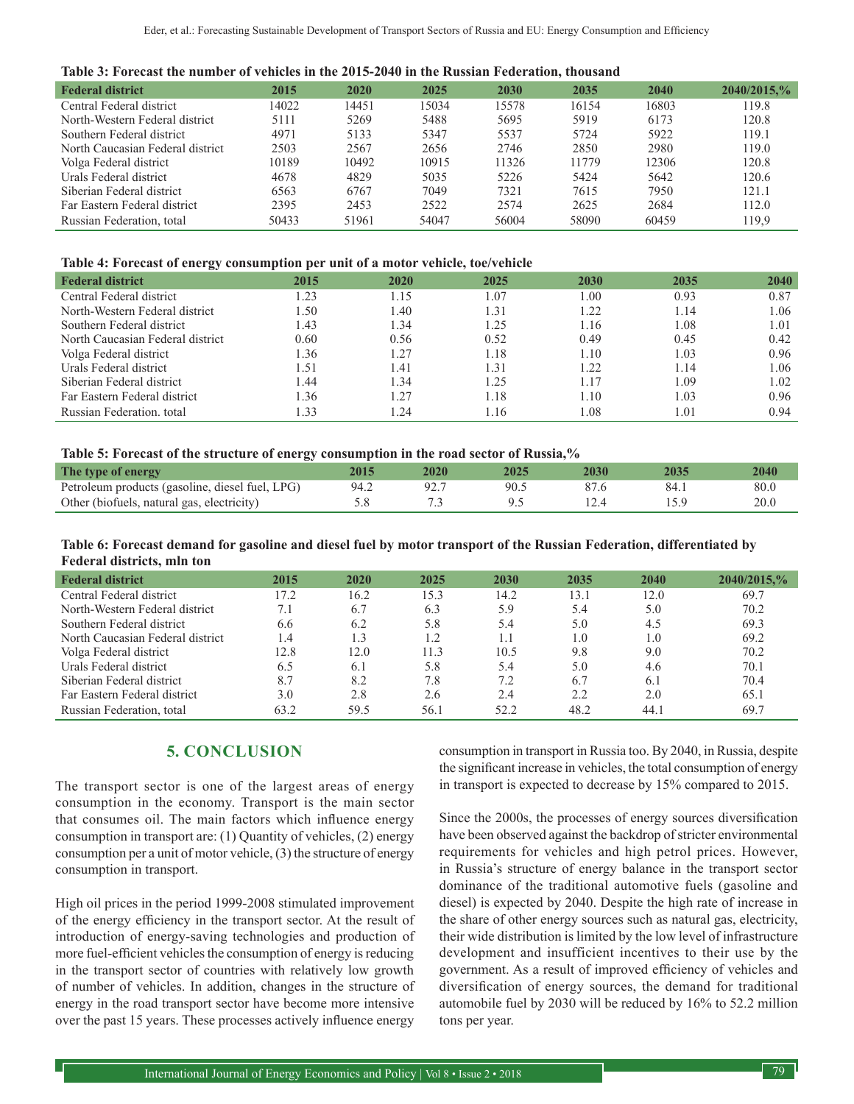| <b>Federal district</b>          | 2015  | 2020  | 2025  | 2030  | 2035  | 2040  | 2040/2015,% |
|----------------------------------|-------|-------|-------|-------|-------|-------|-------------|
| Central Federal district         | 14022 | 14451 | 15034 | 15578 | 16154 | 16803 | 119.8       |
| North-Western Federal district   | 5111  | 5269  | 5488  | 5695  | 5919  | 6173  | 120.8       |
| Southern Federal district        | 4971  | 5133  | 5347  | 5537  | 5724  | 5922  | 119.1       |
| North Caucasian Federal district | 2503  | 2567  | 2656  | 2746  | 2850  | 2980  | 119.0       |
| Volga Federal district           | 10189 | 10492 | 10915 | 11326 | 11779 | 12306 | 120.8       |
| Urals Federal district           | 4678  | 4829  | 5035  | 5226  | 5424  | 5642  | 120.6       |
| Siberian Federal district        | 6563  | 6767  | 7049  | 7321  | 7615  | 7950  | 121.1       |
| Far Eastern Federal district     | 2395  | 2453  | 2522  | 2574  | 2625  | 2684  | 112.0       |
| Russian Federation, total        | 50433 | 51961 | 54047 | 56004 | 58090 | 60459 | 119.9       |

#### **Table 4: Forecast of energy consumption per unit of a motor vehicle, toe/vehicle**

| <b>Federal district</b>          | 2015 | 2020 | 2025 | 2030           | 2035 | <b>2040</b> |
|----------------------------------|------|------|------|----------------|------|-------------|
| Central Federal district         | 1.23 | 1.15 | 1.07 | 1.00           | 0.93 | 0.87        |
| North-Western Federal district   | l.50 | 1.40 | 1.31 | $\frac{1}{22}$ | .14  | 1.06        |
| Southern Federal district        | 1.43 | 1.34 | l.25 | 1.16           | l.08 | 1.01        |
| North Caucasian Federal district | 0.60 | 0.56 | 0.52 | 0.49           | 0.45 | 0.42        |
| Volga Federal district           | 1.36 | 1.27 | 1.18 | 1.10           | 0.03 | 0.96        |
| Urals Federal district           | 1.51 | 1.41 | 1.31 | 1.22           | .14  | l.06        |
| Siberian Federal district        | 1.44 | 1.34 | 1.25 | 1.17           | .09  | 1.02        |
| Far Eastern Federal district     | 1.36 | 1.27 | 1.18 | 1.10           | 0.03 | 0.96        |
| Russian Federation, total        | 1.33 | 1.24 | 1.16 | 1.08           | . 01 | 0.94        |

#### **Table 5: Forecast of the structure of energy consumption in the road sector of Russia,%**

| The type of energy                              | 2020 | 2025 | 2035 | 2040 |
|-------------------------------------------------|------|------|------|------|
| Petroleum products (gasoline, diesel fuel, LPG) |      | 90.5 |      | 80.6 |
| Other (biofuels, natural gas, electricity)      |      |      |      | 20.0 |

**Table 6: Forecast demand for gasoline and diesel fuel by motor transport of the Russian Federation, differentiated by Federal districts, mln ton**

| <b>Federal district</b>          | 2015 | 2020 | 2025                 | 2030 | 2035 | 2040 | 2040/2015,% |
|----------------------------------|------|------|----------------------|------|------|------|-------------|
| Central Federal district         | 17.2 | 16.2 | 15.3                 | 14.2 | 13.1 | 12.0 | 69.7        |
| North-Western Federal district   |      | 6.7  | 6.3                  | 5.9  | 5.4  | 5.0  | 70.2        |
| Southern Federal district        | 6.6  | 6.2  | 5.8                  | 5.4  | 5.0  | 4.5  | 69.3        |
| North Caucasian Federal district | l 4  | 1.3  | $\lfloor .2 \rfloor$ | 1.1  | 1.0  | 1.0  | 69.2        |
| Volga Federal district           | 12.8 | 12.0 | 11.3                 | 10.5 | 9.8  | 9.0  | 70.2        |
| Urals Federal district           | 6.5  | 6.1  | 5.8                  | 5.4  | 5.0  | 4.6  | 70.1        |
| Siberian Federal district        | 8.7  | 8.2  | 7.8                  | 7.2  | 6.7  | 6.1  | 70.4        |
| Far Eastern Federal district     | 3.0  | 2.8  | 2.6                  | 2.4  | 2.2  | 2.0  | 65.1        |
| Russian Federation, total        | 63.2 | 59.5 | 56.1                 | 52.2 | 48.2 | 44.1 | 69.7        |

# **5. CONCLUSION**

The transport sector is one of the largest areas of energy consumption in the economy. Transport is the main sector that consumes oil. The main factors which influence energy consumption in transport are: (1) Quantity of vehicles, (2) energy consumption per a unit of motor vehicle, (3) the structure of energy consumption in transport.

High oil prices in the period 1999-2008 stimulated improvement of the energy efficiency in the transport sector. At the result of introduction of energy-saving technologies and production of more fuel-efficient vehicles the consumption of energy is reducing in the transport sector of countries with relatively low growth of number of vehicles. In addition, changes in the structure of energy in the road transport sector have become more intensive over the past 15 years. These processes actively influence energy

consumption in transport in Russia too. By 2040, in Russia, despite the significant increase in vehicles, the total consumption of energy in transport is expected to decrease by 15% compared to 2015.

Since the 2000s, the processes of energy sources diversification have been observed against the backdrop of stricter environmental requirements for vehicles and high petrol prices. However, in Russia's structure of energy balance in the transport sector dominance of the traditional automotive fuels (gasoline and diesel) is expected by 2040. Despite the high rate of increase in the share of other energy sources such as natural gas, electricity, their wide distribution is limited by the low level of infrastructure development and insufficient incentives to their use by the government. As a result of improved efficiency of vehicles and diversification of energy sources, the demand for traditional automobile fuel by 2030 will be reduced by 16% to 52.2 million tons per year.